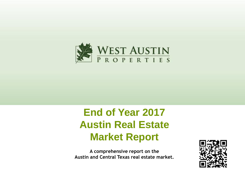

# **End of Year 2017 Austin Real Estate Market Report**

**A comprehensive report on the Austin and Central Texas real estate market.**

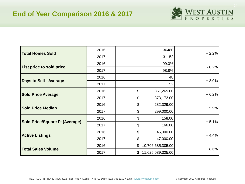

| <b>Total Homes Sold</b>               | 2016 | 30480                                   | $+2.2%$ |  |
|---------------------------------------|------|-----------------------------------------|---------|--|
|                                       | 2017 | 31152                                   |         |  |
|                                       | 2016 | 99.0%                                   | $-0.2%$ |  |
| List price to sold price              | 2017 | 98.8%                                   |         |  |
|                                       | 2016 | 48                                      | $+8.0%$ |  |
| <b>Days to Sell - Average</b>         | 2017 | 52                                      |         |  |
|                                       | 2016 | $\boldsymbol{\mathsf{S}}$<br>351,269.00 | $+6.2%$ |  |
| <b>Sold Price Average</b>             | 2017 | \$<br>373,173.00                        |         |  |
| <b>Sold Price Median</b>              | 2016 | \$<br>282,329.00                        |         |  |
|                                       | 2017 | \$<br>299,000.00                        | $+5.9%$ |  |
|                                       | 2016 | \$<br>158.00                            |         |  |
| <b>Sold Price/Square Ft (Average)</b> | 2017 | \$<br>166.00                            | $+5.1%$ |  |
|                                       | 2016 | \$<br>45,000.00                         |         |  |
| <b>Active Listings</b>                | 2017 | \$<br>47,000.00                         | $+4.4%$ |  |
|                                       | 2016 | \$<br>10,706,685,305.00                 |         |  |
| <b>Total Sales Volume</b>             | 2017 | \$<br>11,625,089,325.00                 | $+8.6%$ |  |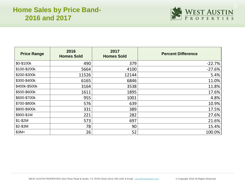

| <b>Price Range</b> | 2016<br><b>Homes Sold</b> | 2017<br><b>Homes Sold</b> | <b>Percent Difference</b> |
|--------------------|---------------------------|---------------------------|---------------------------|
| \$0-\$100k         | 490                       | 379                       | $-22.7%$                  |
| \$100-\$200k       | 5664                      | 4100                      | $-27.6%$                  |
| \$200-\$300k       | 11526                     | 12144                     | 5.4%                      |
| \$300-\$400k       | 6165                      | 6846                      | 11.0%                     |
| \$400k-\$500k      | 3164                      | 3538                      | 11.8%                     |
| \$500-\$600k       | 1611                      | 1895                      | 17.6%                     |
| \$600-\$700k       | 955                       | 1001                      | 4.8%                      |
| \$700-\$800k       | 576                       | 639                       | 10.9%                     |
| \$800-\$900k       | 331                       | 389                       | 17.5%                     |
| \$900-\$1M         | 221                       | 282                       | 27.6%                     |
| $$1-$2M$           | 573                       | 697                       | 21.6%                     |
| \$2-\$3M           | 78                        | 90                        | 15.4%                     |
| \$3M<              | 26                        | 52                        | 100.0%                    |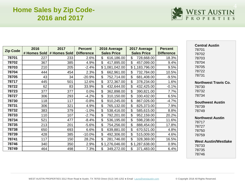# **Home Sales by Zip Code-2016 and 2017**

| WEST AUSTIN |  |  |  |  |  |  |  |  |  |
|-------------|--|--|--|--|--|--|--|--|--|
|             |  |  |  |  |  |  |  |  |  |

**Central Austin**

|                 |      |                           |                   |                    |                    |                   | Central Austin                       |
|-----------------|------|---------------------------|-------------------|--------------------|--------------------|-------------------|--------------------------------------|
| <b>Zip Code</b> | 2016 | 2017                      | <b>Percent</b>    | 2016 Average       | 2017 Average       | <b>Percent</b>    | 78701                                |
|                 |      | # Homes Sold # Homes Sold | <b>Difference</b> | <b>Sales Price</b> | <b>Sales Price</b> | <b>Difference</b> | 78702                                |
| 78701           | 227  | 233                       | 2.6%              | \$<br>616,186.00   | \$<br>728,668.00   | 18.3%             | 78703                                |
| 78702           | 367  | 385                       | 4.9%              | \$<br>417,895.00   | \$<br>457,099.00   | 9.4%              | 78704                                |
| 78703           | 210  | 205                       | $-2.4%$           | \$1,081,042.00     | \$1,183,796.00     | 9.5%              | 78705                                |
| 78704           | 444  | 454                       | 2.3%              | \$<br>662,961.00   | \$<br>732,784.00   | 10.5%             | 78722                                |
| 78705           | 43   | 34                        | $-20.9%$          | \$<br>752,714.00   | \$<br>681,408.00   | $-9.5%$           | 78731                                |
| 78717           | 445  | 501                       | 12.6%             | \$<br>372,367.00   | \$<br>378,234.00   | 1.6%              | <b>Northwest Travis Co.</b>          |
| 78722           | 62   | 83                        | 33.9%             | \$<br>432,644.00   | \$<br>432,425.00   | $-0.1%$           | 78730                                |
| 78723           | 377  | 377                       | 0.0%              | \$<br>362,898.00   | \$<br>390,821.00   | 7.7%              | 78732                                |
| 78727           | 306  | 293                       | $-4.2%$           | \$<br>310,150.00   | \$<br>330,432.00   | 6.5%              | 78734                                |
| 78730           | 118  | 117                       | $-0.8%$           | \$<br>910,245.00   | \$<br>867,026.00   | $-4.7%$           | <b>Southwest Austin</b>              |
| 78731           | 306  | 321                       | 4.9%              | \$<br>765,132.00   | \$<br>825,373.00   | 7.9%              | 78739                                |
| 78732           | 383  | 379                       | $-1.0%$           | \$<br>538,416.00   | \$<br>585,615.00   | 8.8%              | 78749                                |
| 78733           | 110  | 107                       | $-2.7%$           | \$<br>792,201.00   | \$<br>952,159.00   | 20.2%             |                                      |
| 78734           | 521  | 477                       | $-8.4%$           | \$<br>536,195.00   | \$<br>598,238.00   | 11.6%             | <b>Northwest Austin</b><br>78717     |
| 78735           | 213  | 201                       | $-5.6%$           | \$<br>754,256.00   | \$<br>888,454.00   | 17.8%             | 78727                                |
| 78738           | 650  | 693                       | 6.6%              | \$<br>639,881.00   | \$<br>670,521.00   | 4.8%              | 78750                                |
| 78739           | 428  | 385                       | $-10.0\%$         | \$<br>492,306.00   | \$<br>515,009.00   | 4.6%              | 78759                                |
| 78741           | 117  | 150                       | 28.2%             | \$<br>281,746.00   | \$<br>328,369.00   | 16.5%             |                                      |
| 78746           | 340  | 350                       | 2.9%              | \$1,276,046.00     | \$1,287,638.00     | 0.9%              | <b>West Austin/Westlake</b><br>78733 |
| 78749           | 464  | 498                       | 7.3%              | \$.<br>349,272.00  | \$<br>371,483.00   | 6.4%              | 78735                                |
|                 |      |                           |                   |                    |                    |                   |                                      |